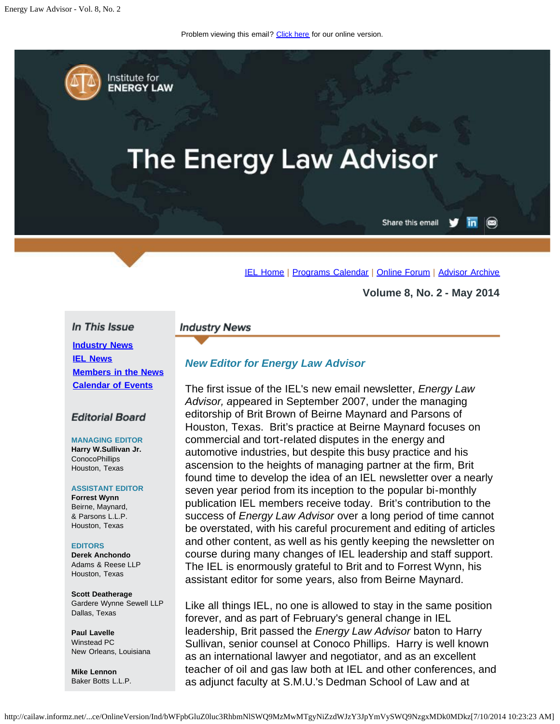Problem viewing this email? [Click here](#page-0-0) for our online version.

<span id="page-0-0"></span>Institute for **ENERGY LAW** 

# **The Energy Law Advisor**

Share this email in  $\circledcirc$ 

[IEL Home](http://www.cailaw.org/institute-for-energy-law/index.html?utm_source=Informz&utm_medium=Email&utm_campaign=Event+Details) | [Programs Calendar](http://www.cailaw.org/institute-for-energy-law/programs-calendar.html?utm_source=Informz&utm_medium=Email&utm_campaign=Event+Details) | [Online Forum](http://www.linkedin.com/groups?homeNewMember=&gid=2370373&trk=&ut=0XojoQQoYP6ls1) | [Advisor Archive](http://www.cailaw.org/institute-for-energy-law/publications/energy-law-advisor.html?utm_source=Informz&utm_medium=Email&utm_campaign=Event+Details)

**Volume 8, No. 2 - May 2014**

## In This Issue

**[Industry News](#page-0-0) [IEL News](#page-0-0) [Members in the News](#page-0-0) [Calendar of Events](#page-0-0)**

# **Editorial Board**

**MANAGING EDITOR Harry W.Sullivan Jr.** ConocoPhillips Houston, Texas

### **ASSISTANT EDITOR**

**Forrest Wynn** Beirne, Maynard, & Parsons L.L.P. Houston, Texas

### **EDITORS**

**Derek Anchondo** Adams & Reese LLP Houston, Texas

**Scott Deatherage** Gardere Wynne Sewell LLP Dallas, Texas

**Paul Lavelle** Winstead PC New Orleans, Louisiana

**Mike Lennon** Baker Botts L.L.P.

## **Industry News**

# *New Editor for Energy Law Advisor*

The first issue of the IEL's new email newsletter, *Energy Law Advisor, a*ppeared in September 2007, under the managing editorship of Brit Brown of Beirne Maynard and Parsons of Houston, Texas. Brit's practice at Beirne Maynard focuses on commercial and tort-related disputes in the energy and automotive industries, but despite this busy practice and his ascension to the heights of managing partner at the firm, Brit found time to develop the idea of an IEL newsletter over a nearly seven year period from its inception to the popular bi-monthly publication IEL members receive today. Brit's contribution to the success of *Energy Law Advisor* over a long period of time cannot be overstated, with his careful procurement and editing of articles and other content, as well as his gently keeping the newsletter on course during many changes of IEL leadership and staff support. The IEL is enormously grateful to Brit and to Forrest Wynn, his assistant editor for some years, also from Beirne Maynard.

Like all things IEL, no one is allowed to stay in the same position forever, and as part of February's general change in IEL leadership, Brit passed the *Energy Law Advisor* baton to Harry Sullivan, senior counsel at Conoco Phillips. Harry is well known as an international lawyer and negotiator, and as an excellent teacher of oil and gas law both at IEL and other conferences, and as adjunct faculty at S.M.U.'s Dedman School of Law and at

http://cailaw.informz.net/...ce/OnlineVersion/Ind/bWFpbGluZ0luc3RhbmNlSWQ9MzMwMTgyNiZzdWJzY3JpYmVySWQ9NzgxMDk0MDkz[7/10/2014 10:23:23 AM]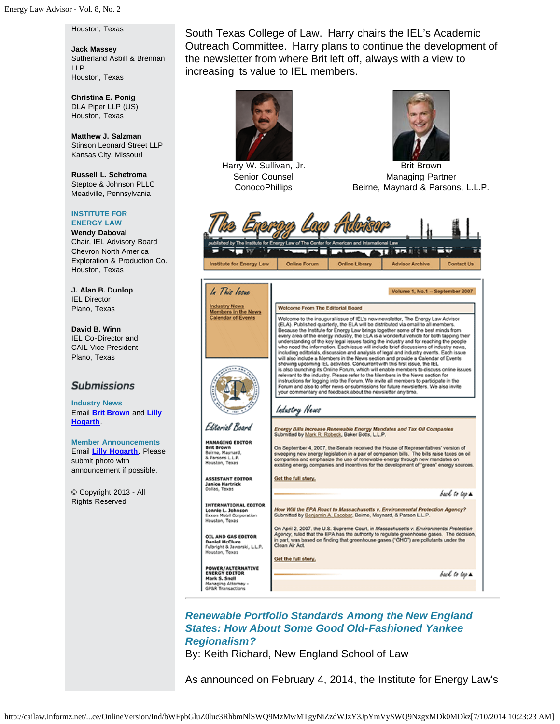Houston, Texas

**Jack Massey** Sutherland Asbill & Brennan LLP Houston, Texas

**Christina E. Ponig** DLA Piper LLP (US) Houston, Texas

**Matthew J. Salzman** Stinson Leonard Street LLP Kansas City, Missouri

**Russell L. Schetroma** Steptoe & Johnson PLLC Meadville, Pennsylvania

#### **INSTITUTE FOR ENERGY LAW**

**Wendy Daboval** Chair, IEL Advisory Board Chevron North America Exploration & Production Co. Houston, Texas

**J. Alan B. Dunlop** IEL Director Plano, Texas

**David B. Winn** IEL Co-Director and CAIL Vice President Plano, Texas

# **Submissions**

**Industry News** Email **[Brit Brown](mailto:bbrown@bmpllp.com)** and **[Lilly](mailto:lhogarth@cailaw.org) [Hogarth](mailto:lhogarth@cailaw.org)**.

**Member Announcements** Email **[Lilly Hogarth](mailto:lhogarth@cailaw.org)**. Please submit photo with announcement if possible.

© Copyright 2013 - All Rights Reserved

South Texas College of Law. Harry chairs the IEL's Academic Outreach Committee. Harry plans to continue the development of the newsletter from where Brit left off, always with a view to increasing its value to IEL members.



Harry W. Sullivan, Jr. Senior Counsel **ConocoPhillips** 



Brit Brown Managing Partner Beirne, Maynard & Parsons, L.L.P.





*Renewable Portfolio Standards Among the New England States: How About Some Good Old-Fashioned Yankee Regionalism?*

By: Keith Richard, New England School of Law

As announced on February 4, 2014, the Institute for Energy Law's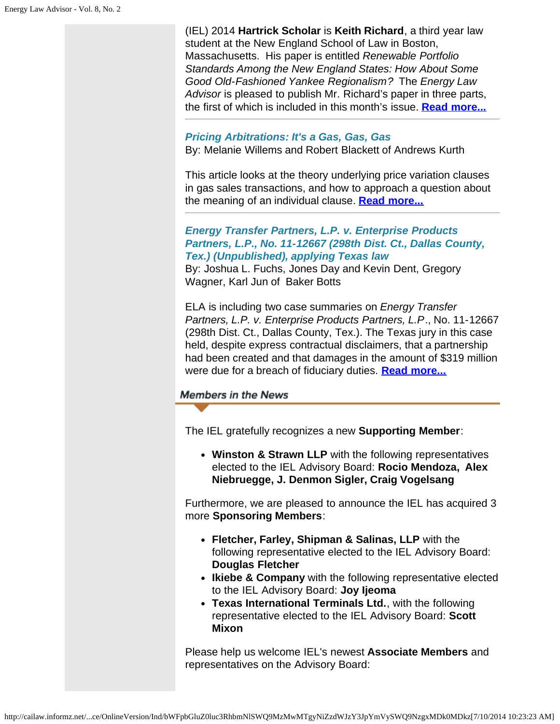(IEL) 2014 **Hartrick Scholar** is **Keith Richard**, a third year law student at the New England School of Law in Boston, Massachusetts. His paper is entitled *Renewable Portfolio Standards Among the New England States: How About Some Good Old-Fashioned Yankee Regionalism?* The *Energy Law Advisor* is pleased to publish Mr. Richard's paper in three parts, the first of which is included in this month's issue. **[Read more...](http://www.cailaw.org/media/files/IEL/Publications/2014/ela-renewable-portfolio-vol8-no2.pdf)**

## *Pricing Arbitrations: It's a Gas, Gas, Gas*

By: Melanie Willems and Robert Blackett of Andrews Kurth

This article looks at the theory underlying price variation clauses in gas sales transactions, and how to approach a question about the meaning of an individual clause. **[Read more...](http://www.cailaw.org/media/files/IEL/Publications/2014/ela-pricing-arbitrations-vol8-no2.pdf)**

*Energy Transfer Partners, L.P. v. Enterprise Products Partners, L.P., No. 11-12667 (298th Dist. Ct., Dallas County, Tex.) (Unpublished), applying Texas law*

By: Joshua L. Fuchs, Jones Day and Kevin Dent, Gregory Wagner, Karl Jun of Baker Botts

ELA is including two case summaries on *Energy Transfer Partners, L.P. v. Enterprise Products Partners, L.P*., No. 11-12667 (298th Dist. Ct., Dallas County, Tex.). The Texas jury in this case held, despite express contractual disclaimers, that a partnership had been created and that damages in the amount of \$319 million were due for a breach of fiduciary duties. **[Read more...](http://cailaw.informz.net/admin31/content/template.asp?sid=34737&ptid=799&brandid=3434&uid=781094093&mi=3301826&ps=34737)**

**Members in the News** 

The IEL gratefully recognizes a new **Supporting Member**:

**Winston & Strawn LLP** with the following representatives elected to the IEL Advisory Board: **Rocio Mendoza, Alex Niebruegge, J. Denmon Sigler, Craig Vogelsang**

Furthermore, we are pleased to announce the IEL has acquired 3 more **Sponsoring Members**:

- **Fletcher, Farley, Shipman & Salinas, LLP** with the following representative elected to the IEL Advisory Board: **Douglas Fletcher**
- **Ikiebe & Company** with the following representative elected to the IEL Advisory Board: **Joy Ijeoma**
- **Texas International Terminals Ltd.**, with the following representative elected to the IEL Advisory Board: **Scott Mixon**

Please help us welcome IEL's newest **Associate Members** and representatives on the Advisory Board: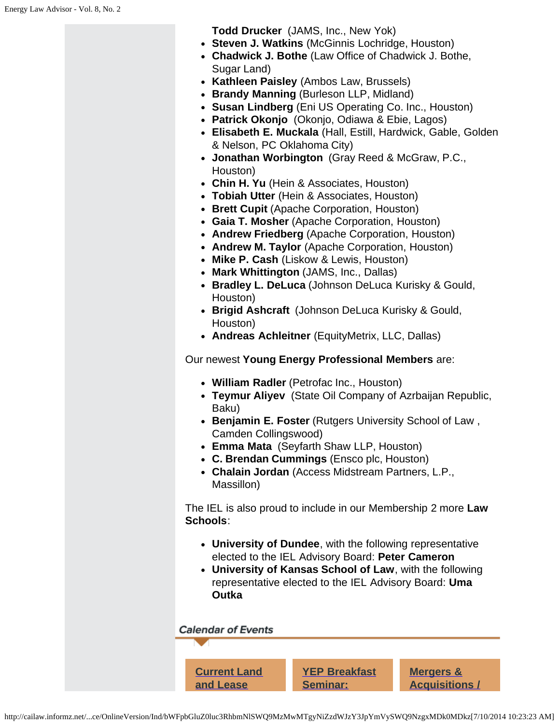**Todd Drucker** (JAMS, Inc., New Yok)

- **Steven J. Watkins** (McGinnis Lochridge, Houston)
- **Chadwick J. Bothe** (Law Office of Chadwick J. Bothe, Sugar Land)
- **Kathleen Paisley** (Ambos Law, Brussels)
- **Brandy Manning** (Burleson LLP, Midland)
- **Susan Lindberg** (Eni US Operating Co. Inc., Houston)
- **Patrick Okonjo** (Okonjo, Odiawa & Ebie, Lagos)
- **Elisabeth E. Muckala** (Hall, Estill, Hardwick, Gable, Golden & Nelson, PC Oklahoma City)
- **Jonathan Worbington** (Gray Reed & McGraw, P.C., Houston)
- **Chin H. Yu** (Hein & Associates, Houston)
- **Tobiah Utter** (Hein & Associates, Houston)
- **Brett Cupit** (Apache Corporation, Houston)
- **Gaia T. Mosher** (Apache Corporation, Houston)
- **Andrew Friedberg** (Apache Corporation, Houston)
- **Andrew M. Taylor** (Apache Corporation, Houston)
- **Mike P. Cash** (Liskow & Lewis, Houston)
- **Mark Whittington** (JAMS, Inc., Dallas)
- **Bradley L. DeLuca** (Johnson DeLuca Kurisky & Gould, Houston)
- **Brigid Ashcraft** (Johnson DeLuca Kurisky & Gould, Houston)
- **Andreas Achleitner** (EquityMetrix, LLC, Dallas)

Our newest **Young Energy Professional Members** are:

- **William Radler** (Petrofac Inc., Houston)
- **Teymur Aliyev** (State Oil Company of Azrbaijan Republic, Baku)
- **Benjamin E. Foster** (Rutgers University School of Law , Camden Collingswood)
- **Emma Mata** (Seyfarth Shaw LLP, Houston)
- **C. Brendan Cummings** (Ensco plc, Houston)
- **Chalain Jordan** (Access Midstream Partners, L.P., Massillon)

The IEL is also proud to include in our Membership 2 more **Law Schools**:

- **University of Dundee**, with the following representative elected to the IEL Advisory Board: **Peter Cameron**
- **University of Kansas School of Law**, with the following representative elected to the IEL Advisory Board: **Uma Outka**

**Calendar of Events** 

**[Current Land](http://www.cailaw.org/institute-for-energy-law/events/2014/land-lease-disputes.html?utm_source=Informz&utm_medium=Email&utm_campaign=Event+Details) [and Lease](http://www.cailaw.org/institute-for-energy-law/events/2014/land-lease-disputes.html?utm_source=Informz&utm_medium=Email&utm_campaign=Event+Details)**

**[YEP Breakfast](http://www.cailaw.org/institute-for-energy-law/events/2014/yep-breakfast-project.html?utm_source=Informz&utm_medium=Email&utm_campaign=Event+Details) [Seminar:](http://www.cailaw.org/institute-for-energy-law/events/2014/yep-breakfast-project.html?utm_source=Informz&utm_medium=Email&utm_campaign=Event+Details)**